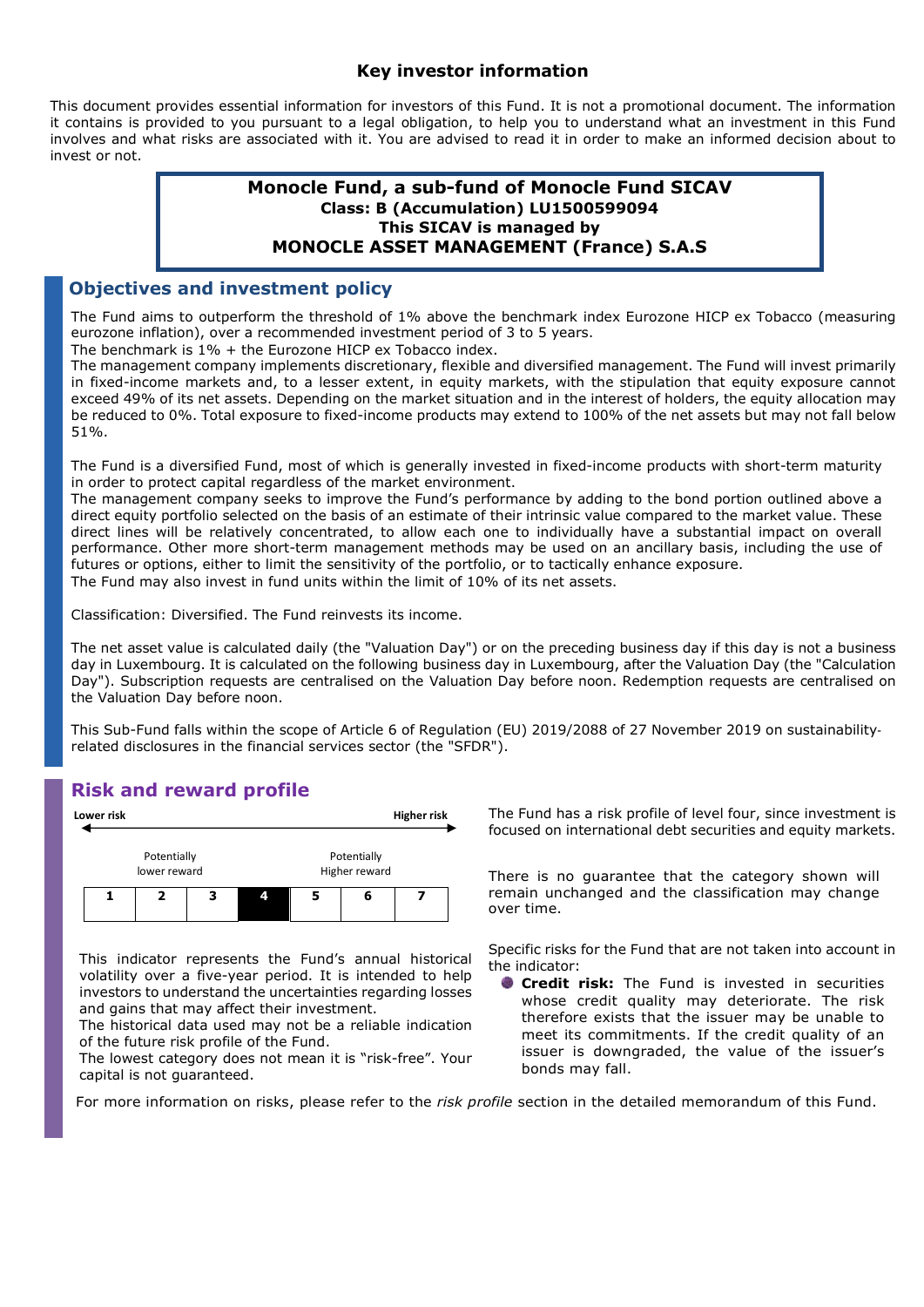#### Key investor information

This document provides essential information for investors of this Fund. It is not a promotional document. The information it contains is provided to you pursuant to a legal obligation, to help you to understand what an investment in this Fund involves and what risks are associated with it. You are advised to read it in order to make an informed decision about to invest or not.

## Monocle Fund, a sub-fund of Monocle Fund SICAV Class: B (Accumulation) LU1500599094 This SICAV is managed by MONOCLE ASSET MANAGEMENT (France) S.A.S

## Objectives and investment policy

The Fund aims to outperform the threshold of 1% above the benchmark index Eurozone HICP ex Tobacco (measuring eurozone inflation), over a recommended investment period of 3 to 5 years.

The benchmark is  $1\%$  + the Eurozone HICP ex Tobacco index.

The management company implements discretionary, flexible and diversified management. The Fund will invest primarily in fixed-income markets and, to a lesser extent, in equity markets, with the stipulation that equity exposure cannot exceed 49% of its net assets. Depending on the market situation and in the interest of holders, the equity allocation may be reduced to 0%. Total exposure to fixed-income products may extend to 100% of the net assets but may not fall below 51%.

The Fund is a diversified Fund, most of which is generally invested in fixed-income products with short-term maturity in order to protect capital regardless of the market environment.

The management company seeks to improve the Fund's performance by adding to the bond portion outlined above a direct equity portfolio selected on the basis of an estimate of their intrinsic value compared to the market value. These direct lines will be relatively concentrated, to allow each one to individually have a substantial impact on overall performance. Other more short-term management methods may be used on an ancillary basis, including the use of futures or options, either to limit the sensitivity of the portfolio, or to tactically enhance exposure. The Fund may also invest in fund units within the limit of 10% of its net assets.

Classification: Diversified. The Fund reinvests its income.

The net asset value is calculated daily (the "Valuation Day") or on the preceding business day if this day is not a business day in Luxembourg. It is calculated on the following business day in Luxembourg, after the Valuation Day (the "Calculation Day"). Subscription requests are centralised on the Valuation Day before noon. Redemption requests are centralised on the Valuation Day before noon.

This Sub-Fund falls within the scope of Article 6 of Regulation (EU) 2019/2088 of 27 November 2019 on sustainability‐ related disclosures in the financial services sector (the "SFDR").

## Risk and reward profile



This indicator represents the Fund's annual historical volatility over a five-year period. It is intended to help investors to understand the uncertainties regarding losses and gains that may affect their investment.

The historical data used may not be a reliable indication of the future risk profile of the Fund.

The lowest category does not mean it is "risk-free". Your capital is not guaranteed.

Lower risk **Higher risk** The Fund has a risk profile of level four, since investment is focused on international debt securities and equity markets.

Higher reward There is no guarantee that the category shown will  $\begin{array}{|c|c|c|c|c|}\n\hline\n1 & 2 & 3 & 4 & 5 & 6 & 7 \\
\hline\n\end{array}$  remain unchanged and the classification may change over time.

> Specific risks for the Fund that are not taken into account in the indicator:

**Credit risk:** The Fund is invested in securities whose credit quality may deteriorate. The risk therefore exists that the issuer may be unable to meet its commitments. If the credit quality of an issuer is downgraded, the value of the issuer's bonds may fall.

For more information on risks, please refer to the risk profile section in the detailed memorandum of this Fund.